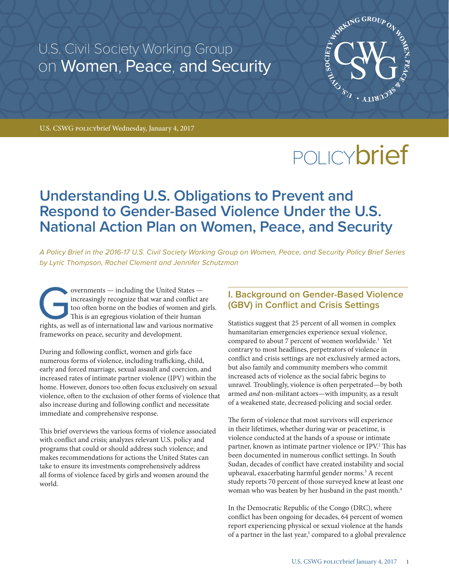U.S. Civil Society Working Group on Women, Peace, and Security



U.S. CSWG policybrief Wednesday, January 4, 2017

# POLICY**brief**

## **Understanding U.S. Obligations to Prevent and Respond to Gender-Based Violence Under the U.S. National Action Plan on Women, Peace, and Security**

*A Policy Brief in the 2016-17 U.S. Civil Society Working Group on Women, Peace, and Security Policy Brief Series by Lyric Thompson, Rachel Clement and Jennifer Schutzman*

overnments — including the United States — increasingly recognize that war and conflict are too often borne on the bodies of women and g This is an egregious violation of their human rights, as well as of international law increasingly recognize that war and conflict are too often borne on the bodies of women and girls. This is an egregious violation of their human rights, as well as of international law and various normative frameworks on peace, security and development.

During and following conflict, women and girls face numerous forms of violence, including trafficking, child, early and forced marriage, sexual assault and coercion, and increased rates of intimate partner violence (IPV) within the home. However, donors too often focus exclusively on sexual violence, often to the exclusion of other forms of violence that also increase during and following conflict and necessitate immediate and comprehensive response.

This brief overviews the various forms of violence associated with conflict and crisis; analyzes relevant U.S. policy and programs that could or should address such violence; and makes recommendations for actions the United States can take to ensure its investments comprehensively address all forms of violence faced by girls and women around the world.

#### **I. Background on Gender-Based Violence (GBV) in Conflict and Crisis Settings**

Statistics suggest that 25 percent of all women in complex humanitarian emergencies experience sexual violence, compared to about 7 percent of women worldwide.<sup>1</sup> Yet contrary to most headlines, perpetrators of violence in conflict and crisis settings are not exclusively armed actors, but also family and community members who commit increased acts of violence as the social fabric begins to unravel. Troublingly, violence is often perpetrated—by both armed *and* non-militant actors—with impunity, as a result of a weakened state, decreased policing and social order.

The form of violence that most survivors will experience in their lifetimes, whether during war or peacetime, is violence conducted at the hands of a spouse or intimate partner, known as intimate partner violence or IPV.<sup>2</sup> This has been documented in numerous conflict settings. In South Sudan, decades of conflict have created instability and social upheaval, exacerbating harmful gender norms.3 A recent study reports 70 percent of those surveyed knew at least one woman who was beaten by her husband in the past month.4

In the Democratic Republic of the Congo (DRC), where conflict has been ongoing for decades, 64 percent of women report experiencing physical or sexual violence at the hands of a partner in the last year,<sup>5</sup> compared to a global prevalence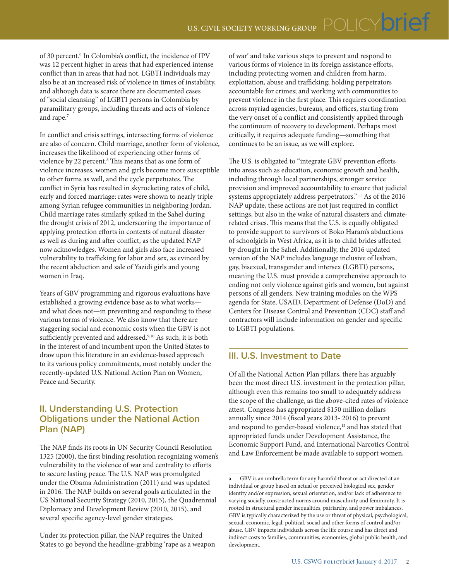of 30 percent.<sup>6</sup> In Colombia's conflict, the incidence of IPV was 12 percent higher in areas that had experienced intense conflict than in areas that had not. LGBTI individuals may also be at an increased risk of violence in times of instability, and although data is scarce there are documented cases of "social cleansing" of LGBTI persons in Colombia by paramilitary groups, including threats and acts of violence and rape.7

In conflict and crisis settings, intersecting forms of violence are also of concern. Child marriage, another form of violence, increases the likelihood of experiencing other forms of violence by 22 percent.<sup>8</sup> This means that as one form of violence increases, women and girls become more susceptible to other forms as well, and the cycle perpetuates. The conflict in Syria has resulted in skyrocketing rates of child, early and forced marriage: rates were shown to nearly triple among Syrian refugee communities in neighboring Jordan. Child marriage rates similarly spiked in the Sahel during the drought crisis of 2012, underscoring the importance of applying protection efforts in contexts of natural disaster as well as during and after conflict, as the updated NAP now acknowledges. Women and girls also face increased vulnerability to trafficking for labor and sex, as evinced by the recent abduction and sale of Yazidi girls and young women in Iraq.

Years of GBV programming and rigorous evaluations have established a growing evidence base as to what works and what does not—in preventing and responding to these various forms of violence. We also know that there are staggering social and economic costs when the GBV is not sufficiently prevented and addressed.<sup>9,10</sup> As such, it is both in the interest of and incumbent upon the United States to draw upon this literature in an evidence-based approach to its various policy commitments, most notably under the recently-updated U.S. National Action Plan on Women, Peace and Security.

#### **II. Understanding U.S. Protection Obligations under the National Action Plan (NAP)**

The NAP finds its roots in UN Security Council Resolution 1325 (2000), the first binding resolution recognizing women's vulnerability to the violence of war and centrality to efforts to secure lasting peace. The U.S. NAP was promulgated under the Obama Administration (2011) and was updated in 2016. The NAP builds on several goals articulated in the US National Security Strategy (2010, 2015), the Quadrennial Diplomacy and Development Review (2010, 2015), and several specific agency-level gender strategies.

Under its protection pillar, the NAP requires the United States to go beyond the headline-grabbing 'rape as a weapon of war' and take various steps to prevent and respond to various forms of violence in its foreign assistance efforts, including protecting women and children from harm, exploitation, abuse and trafficking; holding perpetrators accountable for crimes; and working with communities to prevent violence in the first place. This requires coordination across myriad agencies, bureaus, and offices, starting from the very onset of a conflict and consistently applied through the continuum of recovery to development. Perhaps most critically, it requires adequate funding—something that continues to be an issue, as we will explore.

The U.S. is obligated to "integrate GBV prevention efforts into areas such as education, economic growth and health, including through local partnerships, stronger service provision and improved accountability to ensure that judicial systems appropriately address perpetrators." 11 As of the 2016 NAP update, these actions are not just required in conflict settings, but also in the wake of natural disasters and climaterelated crises. This means that the U.S. is equally obligated to provide support to survivors of Boko Haram's abductions of schoolgirls in West Africa, as it is to child brides affected by drought in the Sahel. Additionally, the 2016 updated version of the NAP includes language inclusive of lesbian, gay, bisexual, transgender and intersex (LGBTI) persons, meaning the U.S. must provide a comprehensive approach to ending not only violence against girls and women, but against persons of all genders. New training modules on the WPS agenda for State, USAID, Department of Defense (DoD) and Centers for Disease Control and Prevention (CDC) staff and contractors will include information on gender and specific to LGBTI populations.

#### **III. U.S. Investment to Date**

Of all the National Action Plan pillars, there has arguably been the most direct U.S. investment in the protection pillar, although even this remains too small to adequately address the scope of the challenge, as the above-cited rates of violence attest. Congress has appropriated \$150 million dollars annually since 2014 (fiscal years 2013- 2016) to prevent and respond to gender-based violence,<sup>12</sup> and has stated that appropriated funds under Development Assistance, the Economic Support Fund, and International Narcotics Control and Law Enforcement be made available to support women,

a GBV is an umbrella term for any harmful threat or act directed at an individual or group based on actual or perceived biological sex, gender identity and/or expression, sexual orientation, and/or lack of adherence to varying socially constructed norms around masculinity and femininity. It is rooted in structural gender inequalities, patriarchy, and power imbalances. GBV is typically characterized by the use or threat of physical, psychological, sexual, economic, legal, political, social and other forms of control and/or abuse. GBV impacts individuals across the life course and has direct and indirect costs to families, communities, economies, global public health, and development.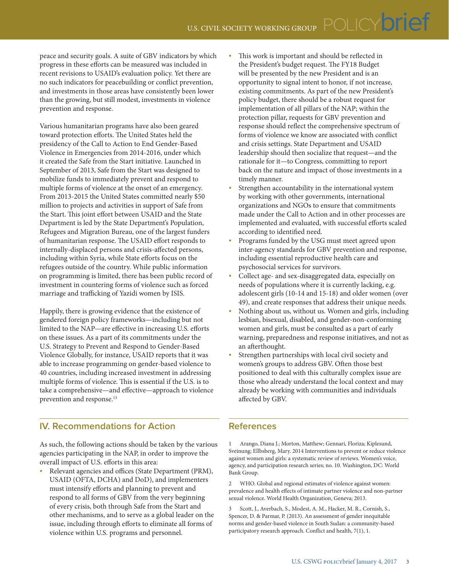peace and security goals. A suite of GBV indicators by which progress in these efforts can be measured was included in recent revisions to USAID's evaluation policy. Yet there are no such indicators for peacebuilding or conflict prevention, and investments in those areas have consistently been lower than the growing, but still modest, investments in violence prevention and response.

Various humanitarian programs have also been geared toward protection efforts. The United States held the presidency of the Call to Action to End Gender-Based Violence in Emergencies from 2014-2016, under which it created the Safe from the Start initiative. Launched in September of 2013, Safe from the Start was designed to mobilize funds to immediately prevent and respond to multiple forms of violence at the onset of an emergency. From 2013-2015 the United States committed nearly \$50 million to projects and activities in support of Safe from the Start. This joint effort between USAID and the State Department is led by the State Department's Population, Refugees and Migration Bureau, one of the largest funders of humanitarian response. The USAID effort responds to internally-displaced persons and crisis-affected persons, including within Syria, while State efforts focus on the refugees outside of the country. While public information on programming is limited, there has been public record of investment in countering forms of violence such as forced marriage and trafficking of Yazidi women by ISIS.

Happily, there is growing evidence that the existence of gendered foreign policy frameworks—including but not limited to the NAP—are effective in increasing U.S. efforts on these issues. As a part of its commitments under the U.S. Strategy to Prevent and Respond to Gender-Based Violence Globally, for instance, USAID reports that it was able to increase programming on gender-based violence to 40 countries, including increased investment in addressing multiple forms of violence. This is essential if the U.S. is to take a comprehensive—and effective—approach to violence prevention and response.<sup>13</sup>

#### **IV. Recommendations for Action**

As such, the following actions should be taken by the various agencies participating in the NAP, in order to improve the overall impact of U.S. efforts in this area:

Relevant agencies and offices (State Department (PRM), USAID (OFTA, DCHA) and DoD), and implementers must intensify efforts and planning to prevent and respond to all forms of GBV from the very beginning of every crisis, both through Safe from the Start and other mechanisms, and to serve as a global leader on the issue, including through efforts to eliminate all forms of violence within U.S. programs and personnel.

- This work is important and should be reflected in the President's budget request. The FY18 Budget will be presented by the new President and is an opportunity to signal intent to honor, if not increase, existing commitments. As part of the new President's policy budget, there should be a robust request for implementation of all pillars of the NAP; within the protection pillar, requests for GBV prevention and response should reflect the comprehensive spectrum of forms of violence we know are associated with conflict and crisis settings. State Department and USAID leadership should then socialize that request—and the rationale for it—to Congress, committing to report back on the nature and impact of those investments in a timely manner.
- Strengthen accountability in the international system by working with other governments, international organizations and NGOs to ensure that commitments made under the Call to Action and in other processes are implemented and evaluated, with successful efforts scaled according to identified need.
- Programs funded by the USG must meet agreed upon inter-agency standards for GBV prevention and response, including essential reproductive health care and psychosocial services for survivors.
- Collect age- and sex-disaggregated data, especially on needs of populations where it is currently lacking, e.g. adolescent girls (10-14 and 15-18) and older women (over 49), and create responses that address their unique needs.
- Nothing about us, without us. Women and girls, including lesbian, bisexual, disabled, and gender-non-conforming women and girls, must be consulted as a part of early warning, preparedness and response initiatives, and not as an afterthought.
- Strengthen partnerships with local civil society and women's groups to address GBV. Often those best positioned to deal with this culturally complex issue are those who already understand the local context and may already be working with communities and individuals affected by GBV.

#### **References**

1 Arango, Diana J.; Morton, Matthew; Gennari, Floriza; Kiplesund, Sveinung; Ellbsberg, Mary. 2014 Interventions to prevent or reduce violence against women and girls: a systematic review of reviews. Women's voice, agency, and participation research series; no. 10. Washington, DC: World Bank Group.

2 WHO. Global and regional estimates of violence against women: prevalence and health effects of intimate partner violence and non-partner sexual violence. World Health Organization, Geneva; 2013.

3 Scott, J., Averbach, S., Modest, A. M., Hacker, M. R., Cornish, S., Spencer, D. & Parmar, P. (2013). An assessment of gender inequitable norms and gender-based violence in South Sudan: a community-based participatory research approach. Conflict and health, 7(1), 1.